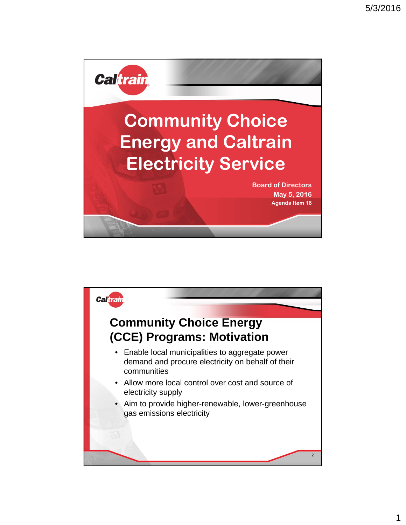



1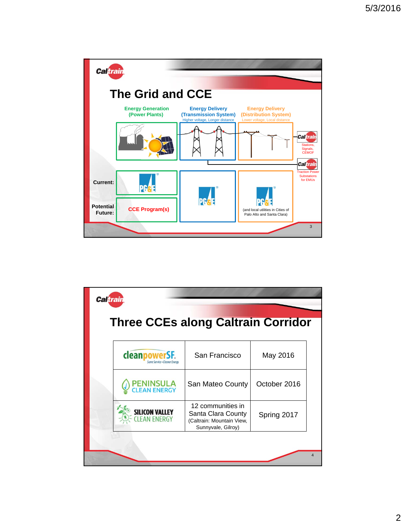

| <b>Caltrain</b>                            |                                                                                            |              |  |  |  |
|--------------------------------------------|--------------------------------------------------------------------------------------------|--------------|--|--|--|
| <b>Three CCEs along Caltrain Corridor</b>  |                                                                                            |              |  |  |  |
| cleanpowe<br>Same Service - Cleaner Energy | San Francisco                                                                              | May 2016     |  |  |  |
| <b>PENINSULA</b><br><b>CLEAN ENERGY</b>    | San Mateo County                                                                           | October 2016 |  |  |  |
| <b>SILICON VALLEY</b><br><b>N ENERGY</b>   | 12 communities in<br>Santa Clara County<br>(Caltrain: Mountain View,<br>Sunnyvale, Gilroy) | Spring 2017  |  |  |  |
|                                            |                                                                                            |              |  |  |  |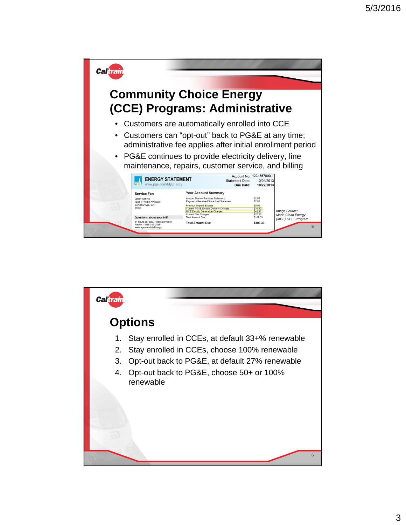

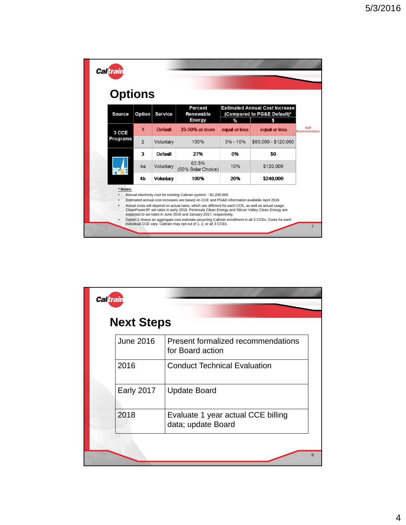|  | <b>Caltrain</b> |                |                  |                                                     |               |                                                                           |                         |
|--|-----------------|----------------|------------------|-----------------------------------------------------|---------------|---------------------------------------------------------------------------|-------------------------|
|  | <b>Options</b>  |                |                  |                                                     |               |                                                                           |                         |
|  | <b>Source</b>   | <b>Option</b>  | <b>Service</b>   | <b>Percent</b><br><b>Renewable</b><br><b>Energy</b> | $\%$          | <b>Estimated Annual Cost Increase</b><br>(Compared to PG&E Default)*<br>S |                         |
|  | 3 CCE           | Л              | <b>Default</b>   | 33-50% or more                                      | equal or less | equal or less                                                             | Staff<br>Recommendation |
|  | Programs        | $\overline{2}$ | Voluntary        | 100%                                                | $5% - 10%$    | \$60,000 - \$120,000                                                      |                         |
|  |                 | 3              | <b>Default</b>   | 27%                                                 | 0%            | \$0                                                                       |                         |
|  |                 |                |                  | 63.5%                                               |               |                                                                           |                         |
|  |                 | 4a             | Voluntary        | (50% Solar Choice)                                  | 10%           | \$120,000                                                                 |                         |
|  | PG              | 4h             | <b>Voluntary</b> | 100%                                                | 20%           | \$240.000                                                                 |                         |

| <b>Next Steps</b> |                                                          |
|-------------------|----------------------------------------------------------|
| June 2016         | Present formalized recommendations<br>for Board action   |
| 2016              | <b>Conduct Technical Evaluation</b>                      |
| <b>Early 2017</b> | <b>Update Board</b>                                      |
| 2018              | Evaluate 1 year actual CCE billing<br>data; update Board |